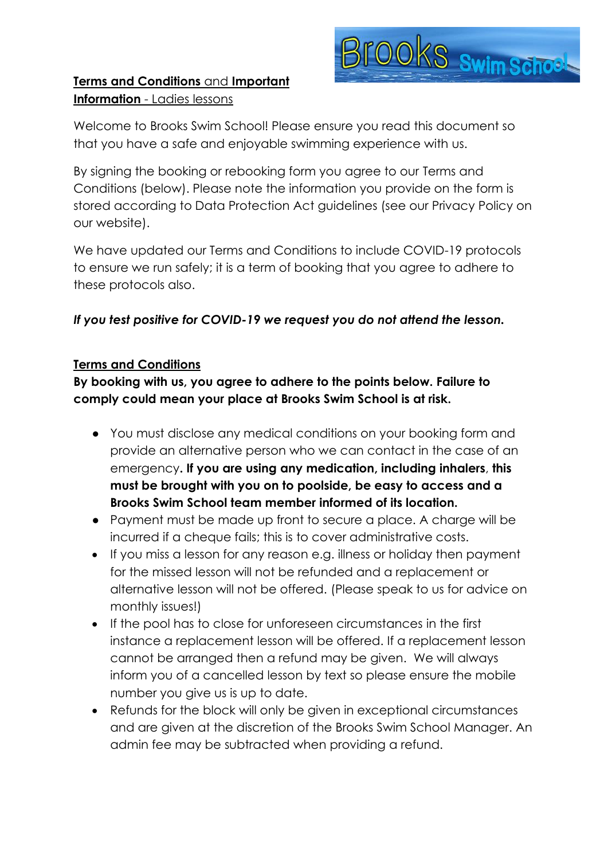

## **Terms and Conditions** and **Important Information** - Ladies lessons

Welcome to Brooks Swim School! Please ensure you read this document so that you have a safe and enjoyable swimming experience with us.

By signing the booking or rebooking form you agree to our Terms and Conditions (below). Please note the information you provide on the form is stored according to Data Protection Act guidelines (see our Privacy Policy on our website).

We have updated our Terms and Conditions to include COVID-19 protocols to ensure we run safely; it is a term of booking that you agree to adhere to these protocols also.

## *If you test positive for COVID-19 we request you do not attend the lesson.*

#### **Terms and Conditions**

**By booking with us, you agree to adhere to the points below. Failure to comply could mean your place at Brooks Swim School is at risk.** 

- You must disclose any medical conditions on your booking form and provide an alternative person who we can contact in the case of an emergency**. If you are using any medication, including inhalers**, **this must be brought with you on to poolside, be easy to access and a Brooks Swim School team member informed of its location.**
- Payment must be made up front to secure a place. A charge will be incurred if a cheque fails; this is to cover administrative costs.
- If you miss a lesson for any reason e.g. illness or holiday then payment for the missed lesson will not be refunded and a replacement or alternative lesson will not be offered. (Please speak to us for advice on monthly issues!)
- If the pool has to close for unforeseen circumstances in the first instance a replacement lesson will be offered. If a replacement lesson cannot be arranged then a refund may be given. We will always inform you of a cancelled lesson by text so please ensure the mobile number you give us is up to date.
- Refunds for the block will only be given in exceptional circumstances and are given at the discretion of the Brooks Swim School Manager. An admin fee may be subtracted when providing a refund.